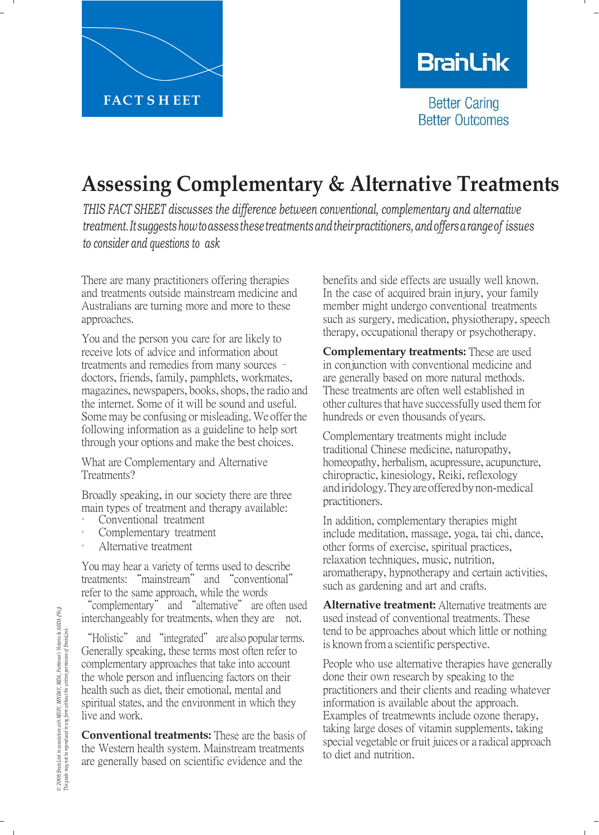

# **BranLink**

**Better Caring Better Outcomes** 

## **Assessing Complementary & Alternative Treatments**

*THIS FACT SHEET discusses the difference between conventional, complementary and alternative treatment.Itsuggestshowtoassessthesetreatmentsandtheirpractitioners,andoffersarangeof issues to consider and questions to ask*

There are many practitioners offering therapies and treatments outside mainstream medicine and Australians are turning more and more to these approaches.

You and the person you care for are likely to receive lots of advice and information about treatments and remedies from many sources – doctors, friends, family, pamphlets, workmates, magazines, newspapers, books, shops, the radio and the internet. Some of it will be sound and useful. Some may be confusing or misleading. We offer the following information as a guideline to help sort through your options and make the best choices.

What are Complementary and Alternative Treatments?

Broadly speaking, in our society there are three main types of treatment and therapy available:

- Conventional treatment
- Complementary treatment
- Alternative treatment

You may hear a variety of terms used to describe treatments: "mainstream" and "conventional" refer to the same approach, while the words "complementary" and "alternative" are often used interchangeably for treatments, when they are not.

"Holistic" and "integrated" are also popular terms. Generally speaking, these terms most often refer to complementary approaches that take into account the whole person and influencing factors on their health such as diet, their emotional, mental and spiritual states, and the environment in which they live and work.

**Conventional treatments:** These are the basis of the Western health system. Mainstream treatments are generally based on scientific evidence and the

benefits and side effects are usually well known. In the case of acquired brain injury, your family member might undergo conventional treatments such as surgery, medication, physiotherapy, speech therapy, occupational therapy or psychotherapy.

**Complementary treatments:** These are used in conjunction with conventional medicine and are generally based on more natural methods. These treatments are often well established in other cultures that have successfully used them for hundreds or even thousands ofyears.

Complementary treatments might include traditional Chinese medicine, naturopathy, homeopathy, herbalism, acupressure, acupuncture, chiropractic, kinesiology, Reiki, reflexology andiridology.Theyareofferedbynon-medical practitioners.

In addition, complementary therapies might include meditation, massage, yoga, tai chi, dance, other forms of exercise, spiritual practices, relaxation techniques, music, nutrition, aromatherapy, hypnotherapy and certain activities, such as gardening and art and crafts.

**Alternative treatment:** Alternative treatments are used instead of conventional treatments. These tend to be approaches about which little or nothing is known from a scientific perspective.

People who use alternative therapies have generally done their own research by speaking to the practitioners and their clients and reading whatever information is available about the approach. Examples of treatmewnts include ozone therapy, taking large doses of vitamin supplements, taking special vegetable or fruit juices or a radical approach to diet and nutrition.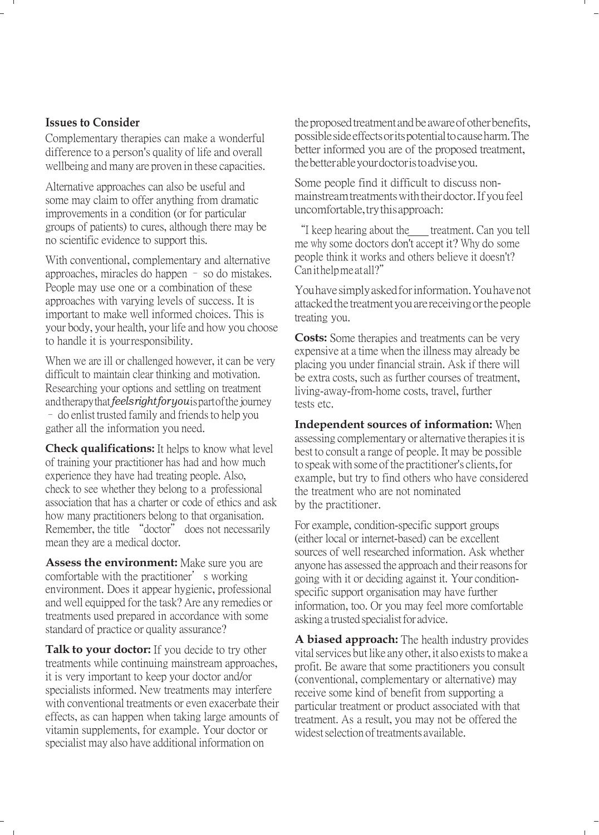#### **Issues to Consider**

Complementary therapies can make a wonderful difference to a person's quality of life and overall wellbeing and many are proven in these capacities.

Alternative approaches can also be useful and some may claim to offer anything from dramatic improvements in a condition (or for particular groups of patients) to cures, although there may be no scientific evidence to support this.

With conventional, complementary and alternative approaches, miracles do happen – so do mistakes. People may use one or a combination of these approaches with varying levels of success. It is important to make well informed choices. This is your body, your health, your life and how you choose to handle it is yourresponsibility.

When we are ill or challenged however, it can be very difficult to maintain clear thinking and motivation. Researching your options and settling on treatment and therapy that *feels right for you* ispart of the journey – do enlist trusted family and friends to help you gather all the information you need.

**Check qualifications:** It helps to know what level of training your practitioner has had and how much experience they have had treating people. Also, check to see whether they belong to a professional association that has a charter or code of ethics and ask how many practitioners belong to that organisation. Remember, the title "doctor" does not necessarily mean they are a medical doctor.

**Assess the environment:** Make sure you are comfortable with the practitioner's working environment. Does it appear hygienic, professional and well equipped for the task? Are any remedies or treatments used prepared in accordance with some standard of practice or quality assurance?

Talk to your doctor: If you decide to try other treatments while continuing mainstream approaches, it is very important to keep your doctor and/or specialists informed. New treatments may interfere with conventional treatments or even exacerbate their effects, as can happen when taking large amounts of vitamin supplements, for example. Your doctor or specialist may also have additional information on

the proposed treatment and be aware of other benefits, possible side effects oritspotential tocause harm. The better informed you are of the proposed treatment, thebetter able yourdoctor istoadvise you.

Some people find it difficult to discuss nonmainstream treatments with their doctor. Ifyou feel uncomfortable, try this approach:

"I keep hearing about the treatment. Can you tell me why some doctors don't accept it? Why do some people think it works and others believe it doesn't? Can ithelp meatall?"

Youhavesimplyaskedforinformation.Youhavenot attackedthe treatmentyouarereceivingorthepeople treating you.

**Costs:** Some therapies and treatments can be very expensive at a time when the illness may already be placing you under financial strain. Ask if there will be extra costs, such as further courses of treatment, living-away-from-home costs, travel, further tests etc.

**Independent sources of information:** When assessing complementary or alternative therapies it is best to consult a range of people. It may be possible to speak with some of the practitioner's clients, for example, but try to find others who have considered the treatment who are not nominated by the practitioner.

For example, condition-specific support groups (either local or internet-based) can be excellent sources of well researched information. Ask whether anyone has assessed the approach and their reasons for going with it or deciding against it. Your conditionspecific support organisation may have further information, too. Or you may feel more comfortable asking a trusted specialist for advice.

**A biased approach:** The health industry provides vital services but like any other, it also exists to make a profit. Be aware that some practitioners you consult (conventional, complementary or alternative) may receive some kind of benefit from supporting a particular treatment or product associated with that treatment. As a result, you may not be offered the widest selection of treatments available.